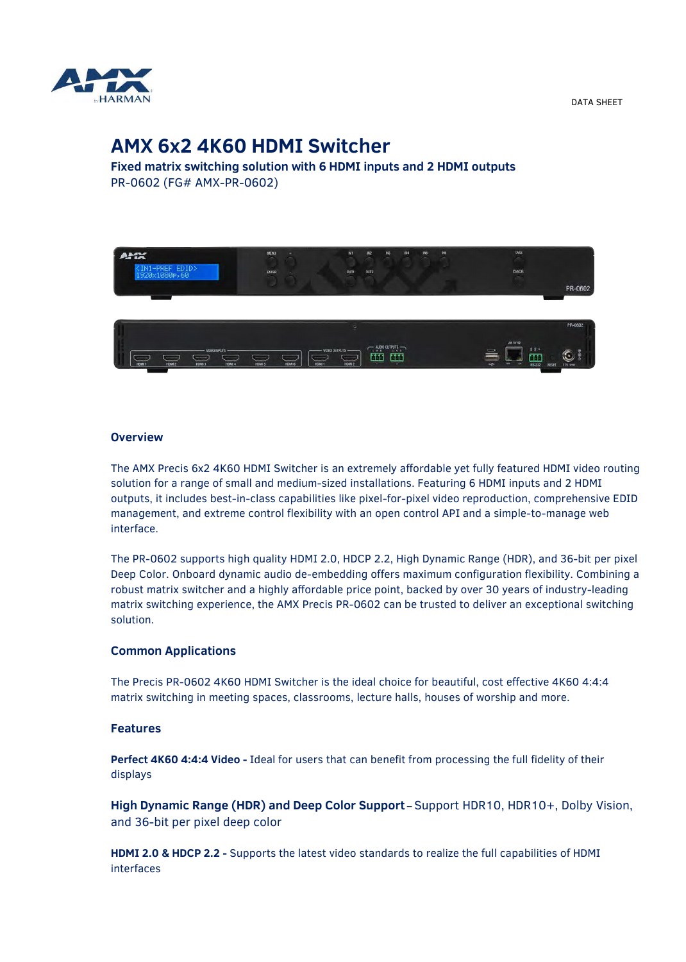

DATA SHEET

# **AMX 6x2 4K60 HDMI Switcher**

**Fixed matrix switching solution with 6 HDMI inputs and 2 HDMI outputs** PR-0602 (FG# AMX-PR-0602)



### **Overview**

The AMX Precis 6x2 4K60 HDMI Switcher is an extremely affordable yet fully featured HDMI video routing solution for a range of small and medium-sized installations. Featuring 6 HDMI inputs and 2 HDMI outputs, it includes best-in-class capabilities like pixel-for-pixel video reproduction, comprehensive EDID management, and extreme control flexibility with an open control API and a simple-to-manage web interface.

The PR-0602 supports high quality HDMI 2.0, HDCP 2.2, High Dynamic Range (HDR), and 36-bit per pixel Deep Color. Onboard dynamic audio de-embedding offers maximum configuration flexibility. Combining a robust matrix switcher and a highly affordable price point, backed by over 30 years of industry-leading matrix switching experience, the AMX Precis PR-0602 can be trusted to deliver an exceptional switching solution.

## **Common Applications**

The Precis PR-0602 4K60 HDMI Switcher is the ideal choice for beautiful, cost effective 4K60 4:4:4 matrix switching in meeting spaces, classrooms, lecture halls, houses of worship and more.

#### **Features**

**Perfect 4K60 4:4:4 Video -** Ideal for users that can benefit from processing the full fidelity of their displays

**High Dynamic Range (HDR) and Deep Color Support** – Support HDR10, HDR10+, Dolby Vision, and 36-bit per pixel deep color

**HDMI 2.0 & HDCP 2.2 -** Supports the latest video standards to realize the full capabilities of HDMI interfaces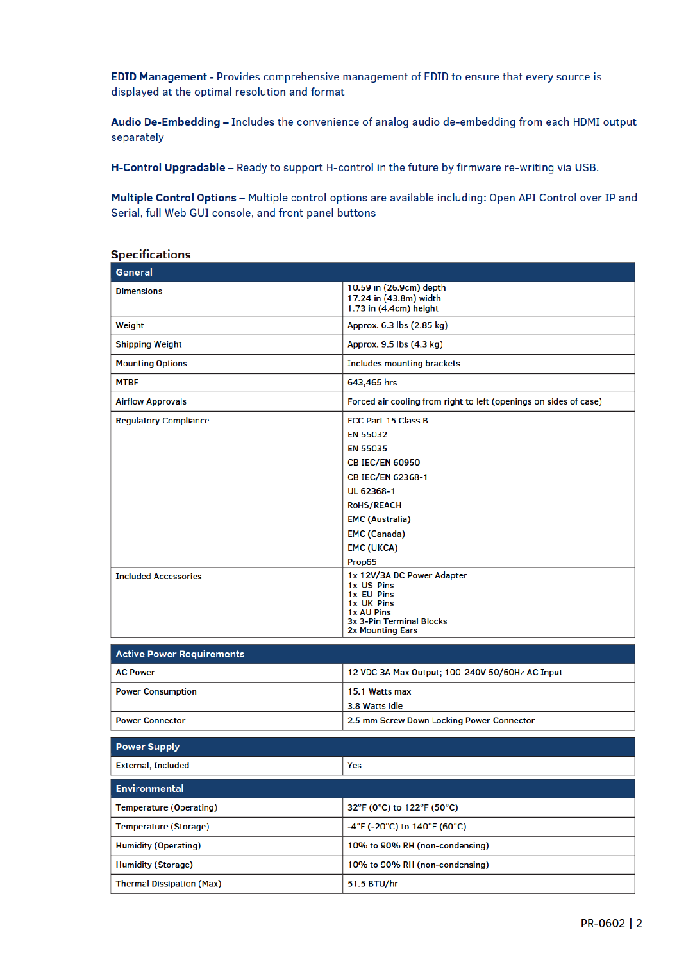EDID Management - Provides comprehensive management of EDID to ensure that every source is displayed at the optimal resolution and format

Audio De-Embedding - Includes the convenience of analog audio de-embedding from each HDMI output separately

H-Control Upgradable - Ready to support H-control in the future by firmware re-writing via USB.

Multiple Control Options - Multiple control options are available including: Open API Control over IP and Serial, full Web GUI console, and front panel buttons

| opcemcacions                                                |                                                                                                                                                                                                                                                                                                                                                             |
|-------------------------------------------------------------|-------------------------------------------------------------------------------------------------------------------------------------------------------------------------------------------------------------------------------------------------------------------------------------------------------------------------------------------------------------|
| General                                                     |                                                                                                                                                                                                                                                                                                                                                             |
| <b>Dimensions</b>                                           | 10.59 in (26.9cm) depth<br>17.24 in (43.8m) width<br>1.73 in (4.4cm) height                                                                                                                                                                                                                                                                                 |
| Weight                                                      | Approx. 6.3 lbs (2.85 kg)                                                                                                                                                                                                                                                                                                                                   |
| <b>Shipping Weight</b>                                      | Approx. 9.5 lbs (4.3 kg)                                                                                                                                                                                                                                                                                                                                    |
| <b>Mounting Options</b>                                     | <b>Includes mounting brackets</b>                                                                                                                                                                                                                                                                                                                           |
| <b>MTBF</b>                                                 | 643,465 hrs                                                                                                                                                                                                                                                                                                                                                 |
| <b>Airflow Approvals</b>                                    | Forced air cooling from right to left (openings on sides of case)                                                                                                                                                                                                                                                                                           |
| <b>Regulatory Compliance</b><br><b>Included Accessories</b> | <b>FCC Part 15 Class B</b><br><b>EN 55032</b><br><b>EN 55035</b><br><b>CB IEC/EN 60950</b><br><b>CB IEC/EN 62368-1</b><br>UL 62368-1<br><b>RoHS/REACH</b><br><b>EMC (Australia)</b><br><b>EMC</b> (Canada)<br><b>EMC (UKCA)</b><br>Prop65<br>1x 12V/3A DC Power Adapter<br>1x US Pins<br>1x EU Pins<br>1x UK Pins<br>1x AU Pins<br>3x 3-Pin Terminal Blocks |
| <b>Active Power Requirements</b>                            | <b>2x Mounting Ears</b>                                                                                                                                                                                                                                                                                                                                     |
|                                                             |                                                                                                                                                                                                                                                                                                                                                             |
| <b>AC Power</b>                                             | 12 VDC 3A Max Output; 100-240V 50/60Hz AC Input                                                                                                                                                                                                                                                                                                             |
| <b>Power Consumption</b>                                    | 15.1 Watts max<br>3.8 Watts idle                                                                                                                                                                                                                                                                                                                            |
| <b>Power Connector</b>                                      | 2.5 mm Screw Down Locking Power Connector                                                                                                                                                                                                                                                                                                                   |
| <b>Power Supply</b>                                         |                                                                                                                                                                                                                                                                                                                                                             |
| <b>External, Included</b>                                   | Yes                                                                                                                                                                                                                                                                                                                                                         |
|                                                             |                                                                                                                                                                                                                                                                                                                                                             |
| <b>Environmental</b>                                        |                                                                                                                                                                                                                                                                                                                                                             |
| <b>Temperature (Operating)</b>                              | 32°F (0°C) to 122°F (50°C)                                                                                                                                                                                                                                                                                                                                  |
| Temperature (Storage)                                       | -4°F (-20°C) to 140°F (60°C)                                                                                                                                                                                                                                                                                                                                |
| <b>Humidity (Operating)</b>                                 | 10% to 90% RH (non-condensing)                                                                                                                                                                                                                                                                                                                              |
| <b>Humidity (Storage)</b>                                   | 10% to 90% RH (non-condensing)                                                                                                                                                                                                                                                                                                                              |
| <b>Thermal Dissipation (Max)</b>                            | 51.5 BTU/hr                                                                                                                                                                                                                                                                                                                                                 |

## **Specifications**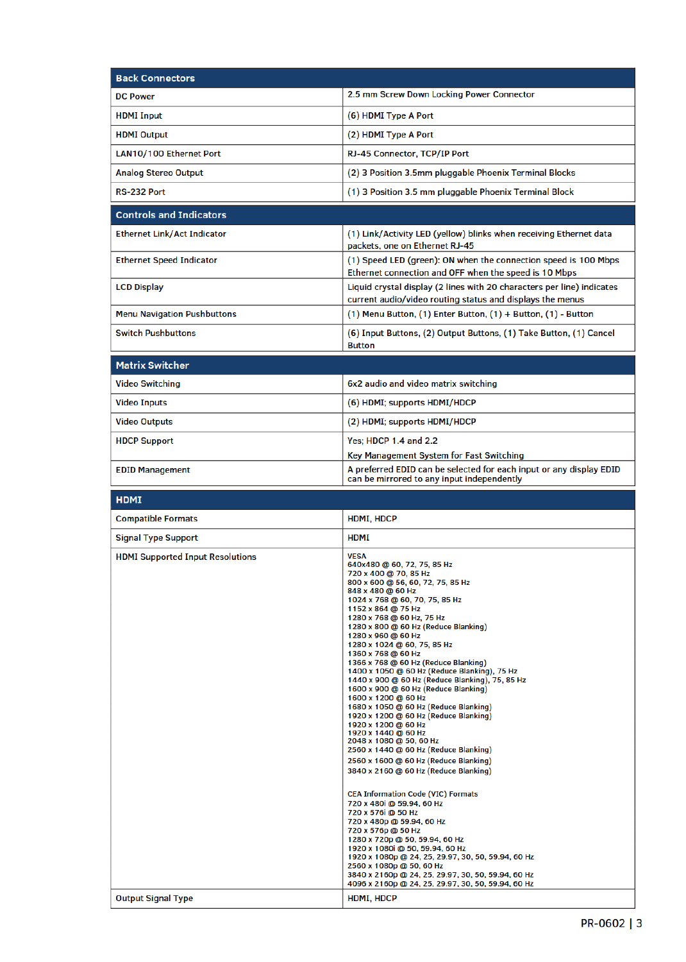| <b>Back Connectors</b>             |                                                                                                                                     |  |
|------------------------------------|-------------------------------------------------------------------------------------------------------------------------------------|--|
| <b>DC Power</b>                    | 2.5 mm Screw Down Locking Power Connector                                                                                           |  |
| <b>HDMI</b> Input                  | (6) HDMI Type A Port                                                                                                                |  |
| <b>HDMI Output</b>                 | (2) HDMI Type A Port                                                                                                                |  |
| LAN10/100 Ethernet Port            | RJ-45 Connector, TCP/IP Port                                                                                                        |  |
| <b>Analog Stereo Output</b>        | (2) 3 Position 3.5mm pluggable Phoenix Terminal Blocks                                                                              |  |
| RS-232 Port                        | (1) 3 Position 3.5 mm pluggable Phoenix Terminal Block                                                                              |  |
| <b>Controls and Indicators</b>     |                                                                                                                                     |  |
| <b>Ethernet Link/Act Indicator</b> | (1) Link/Activity LED (yellow) blinks when receiving Ethernet data<br>packets, one on Ethernet RJ-45                                |  |
| <b>Ethernet Speed Indicator</b>    | (1) Speed LED (green): ON when the connection speed is 100 Mbps<br>Ethernet connection and OFF when the speed is 10 Mbps            |  |
| <b>LCD Display</b>                 | Liquid crystal display (2 lines with 20 characters per line) indicates<br>current audio/video routing status and displays the menus |  |
| <b>Menu Navigation Pushbuttons</b> | $(1)$ Menu Button, $(1)$ Enter Button, $(1)$ + Button, $(1)$ - Button                                                               |  |
| <b>Switch Pushbuttons</b>          | (6) Input Buttons, (2) Output Buttons, (1) Take Button, (1) Cancel<br><b>Button</b>                                                 |  |
| <b>Matrix Switcher</b>             |                                                                                                                                     |  |
| <b>Video Switching</b>             | 6x2 audio and video matrix switching                                                                                                |  |
| <b>Video Inputs</b>                | (6) HDMI; supports HDMI/HDCP                                                                                                        |  |

| <b>VIDEO INDULS</b>    | (6) HDMI; SUPPORTS HDMI/HDCP                                                                                      |
|------------------------|-------------------------------------------------------------------------------------------------------------------|
| <b>Video Outputs</b>   | (2) HDMI; supports HDMI/HDCP                                                                                      |
| <b>HDCP Support</b>    | Yes: HDCP 1.4 and 2.2                                                                                             |
|                        | Key Management System for Fast Switching                                                                          |
| <b>EDID Management</b> | A preferred EDID can be selected for each input or any display EDID<br>can be mirrored to any input independently |

| <b>HDMI</b>                             |                                                                                                                                                                                                                                                                                                                                                                                                                                                                                                                                                                                                                                                                                                                                                                                                                                                                                                                                                                                                                                                                                                                                                                                                                                                             |
|-----------------------------------------|-------------------------------------------------------------------------------------------------------------------------------------------------------------------------------------------------------------------------------------------------------------------------------------------------------------------------------------------------------------------------------------------------------------------------------------------------------------------------------------------------------------------------------------------------------------------------------------------------------------------------------------------------------------------------------------------------------------------------------------------------------------------------------------------------------------------------------------------------------------------------------------------------------------------------------------------------------------------------------------------------------------------------------------------------------------------------------------------------------------------------------------------------------------------------------------------------------------------------------------------------------------|
| <b>Compatible Formats</b>               | HDMI, HDCP                                                                                                                                                                                                                                                                                                                                                                                                                                                                                                                                                                                                                                                                                                                                                                                                                                                                                                                                                                                                                                                                                                                                                                                                                                                  |
| <b>Signal Type Support</b>              | <b>HDMI</b>                                                                                                                                                                                                                                                                                                                                                                                                                                                                                                                                                                                                                                                                                                                                                                                                                                                                                                                                                                                                                                                                                                                                                                                                                                                 |
| <b>HDMI Supported Input Resolutions</b> | <b>VESA</b><br>640x480 @ 60, 72, 75, 85 Hz<br>720 x 400 @ 70, 85 Hz<br>800 x 600 @ 56, 60, 72, 75, 85 Hz<br>848 x 480 @ 60 Hz<br>1024 x 768 @ 60, 70, 75, 85 Hz<br>1152 x 864 @ 75 Hz<br>1280 x 768 @ 60 Hz, 75 Hz<br>1280 x 800 @ 60 Hz (Reduce Blanking)<br>1280 x 960 @ 60 Hz<br>1280 x 1024 @ 60, 75, 85 Hz<br>1360 x 768 @ 60 Hz<br>1366 x 768 @ 60 Hz (Reduce Blanking)<br>1400 x 1050 @ 60 Hz (Reduce Blanking), 75 Hz<br>1440 x 900 @ 60 Hz (Reduce Blanking), 75, 85 Hz<br>1600 x 900 @ 60 Hz (Reduce Blanking)<br>1600 x 1200 @ 60 Hz<br>1680 x 1050 @ 60 Hz (Reduce Blanking)<br>1920 x 1200 @ 60 Hz (Reduce Blanking)<br>1920 x 1200 @ 60 Hz<br>1920 x 1440 @ 60 Hz<br>2048 x 1080 @ 50, 60 Hz<br>2560 x 1440 @ 60 Hz (Reduce Blanking)<br>2560 x 1600 @ 60 Hz (Reduce Blanking)<br>3840 x 2160 @ 60 Hz (Reduce Blanking)<br><b>CEA Information Code (VIC) Formats</b><br>720 x 480i @ 59.94, 60 Hz<br>720 x 576i @ 50 Hz<br>720 x 480p @ 59.94, 60 Hz<br>720 x 576p @ 50 Hz<br>1280 x 720p @ 50, 59.94, 60 Hz<br>1920 x 1080i @ 50, 59.94, 60 Hz<br>1920 x 1080p @ 24, 25, 29.97, 30, 50, 59.94, 60 Hz<br>2560 x 1080p @ 50, 60 Hz<br>3840 x 2160p @ 24, 25, 29.97, 30, 50, 59.94, 60 Hz<br>4096 x 2160p @ 24, 25, 29.97, 30, 50, 59.94, 60 Hz |
| <b>Output Signal Type</b>               | <b>HDMI, HDCP</b>                                                                                                                                                                                                                                                                                                                                                                                                                                                                                                                                                                                                                                                                                                                                                                                                                                                                                                                                                                                                                                                                                                                                                                                                                                           |